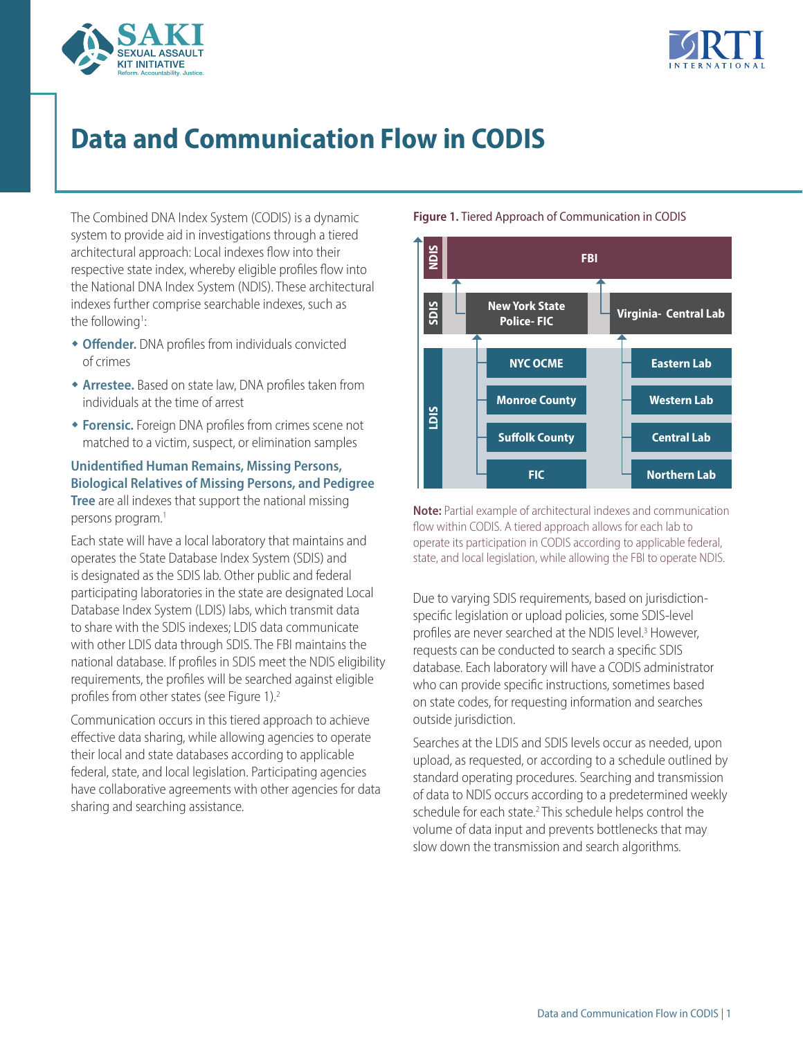



# **Data and Communication Flow in CODIS**

The Combined DNA Index System (CODIS) is a dynamic system to provide aid in investigations through a tiered architectural approach: Local indexes flow into their respective state index, whereby eligible profiles flow into the National DNA Index System (NDIS). These architectural indexes further comprise searchable indexes, such as the following<sup>1</sup>:

- <span id="page-0-0"></span>**+ Offender.** DNA profiles from individuals convicted of crimes
- **\* Arrestee.** Based on state law, DNA profiles taken from individuals at the time of arrest
- **\* Forensic.** Foreign DNA profiles from crimes scene not matched to a victim, suspect, or elimination samples

## **Unidentified Human Remains, Missing Persons, Biological Relatives of Missing Persons, and Pedigree Tree** are all indexes that support the national missing persons program.<sup>1</sup>

Each state will have a local laboratory that maintains and operates the State Database Index System (SDIS) and is designated as the SDIS lab. Other public and federal participating laboratories in the state are designated Local Database Index System (LDIS) labs, which transmit data to share with the SDIS indexes; LDIS data communicate with other LDIS data through SDIS. The FBI maintains the national database. If profiles in SDIS meet the NDIS eligibility requirements, the profiles will be searched against eligible profiles from other states (see Figure 1)[.2](#page-1-1)

<span id="page-0-2"></span><span id="page-0-1"></span>Communication occurs in this tiered approach to achieve effective data sharing, while allowing agencies to operate their local and state databases according to applicable federal, state, and local legislation. Participating agencies have collaborative agreements with other agencies for data sharing and searching assistance.

## **Figure 1.** Tiered Approach of Communication in CODIS



**Note:** Partial example of architectural indexes and communication flow within CODIS. A tiered approach allows for each lab to operate its participation in CODIS according to applicable federal, state, and local legislation, while allowing the FBI to operate NDIS.

Due to varying SDIS requirements, based on jurisdictionspecific legislation or upload policies, some SDIS-level profiles are never searched at the NDIS level.<sup>3</sup> However, requests can be conducted to search a specific SDIS database. Each laboratory will have a CODIS administrator who can provide specific instructions, sometimes based on state codes, for requesting information and searches outside jurisdiction.

Searches at the LDIS and SDIS levels occur as needed, upon upload, as requested, or according to a schedule outlined by standard operating procedures. Searching and transmission of data to NDIS occurs according to a predetermined weekly schedule for each state.<sup>2</sup> This schedule helps control the volume of data input and prevents bottlenecks that may slow down the transmission and search algorithms.